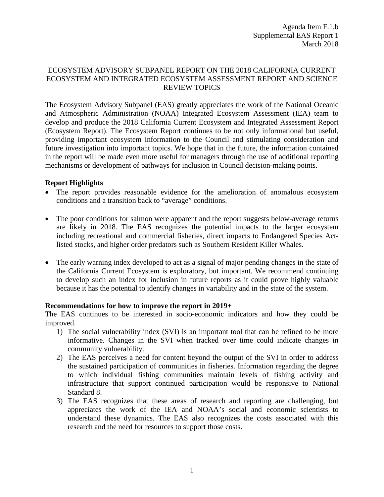## ECOSYSTEM ADVISORY SUBPANEL REPORT ON THE 2018 CALIFORNIA CURRENT ECOSYSTEM AND INTEGRATED ECOSYSTEM ASSESSMENT REPORT AND SCIENCE REVIEW TOPICS

The Ecosystem Advisory Subpanel (EAS) greatly appreciates the work of the National Oceanic and Atmospheric Administration (NOAA) Integrated Ecosystem Assessment (IEA) team to develop and produce the 2018 California Current Ecosystem and Integrated Assessment Report (Ecosystem Report). The Ecosystem Report continues to be not only informational but useful, providing important ecosystem information to the Council and stimulating consideration and future investigation into important topics. We hope that in the future, the information contained in the report will be made even more useful for managers through the use of additional reporting mechanisms or development of pathways for inclusion in Council decision-making points.

## **Report Highlights**

- The report provides reasonable evidence for the amelioration of anomalous ecosystem conditions and a transition back to "average" conditions.
- The poor conditions for salmon were apparent and the report suggests below-average returns are likely in 2018. The EAS recognizes the potential impacts to the larger ecosystem including recreational and commercial fisheries, direct impacts to Endangered Species Actlisted stocks, and higher order predators such as Southern Resident Killer Whales.
- The early warning index developed to act as a signal of major pending changes in the state of the California Current Ecosystem is exploratory, but important. We recommend continuing to develop such an index for inclusion in future reports as it could prove highly valuable because it has the potential to identify changes in variability and in the state of the system.

## **Recommendations for how to improve the report in 2019+**

The EAS continues to be interested in socio-economic indicators and how they could be improved.

- 1) The social vulnerability index (SVI) is an important tool that can be refined to be more informative. Changes in the SVI when tracked over time could indicate changes in community vulnerability.
- 2) The EAS perceives a need for content beyond the output of the SVI in order to address the sustained participation of communities in fisheries. Information regarding the degree to which individual fishing communities maintain levels of fishing activity and infrastructure that support continued participation would be responsive to National Standard 8.
- 3) The EAS recognizes that these areas of research and reporting are challenging, but appreciates the work of the IEA and NOAA's social and economic scientists to understand these dynamics. The EAS also recognizes the costs associated with this research and the need for resources to support those costs.